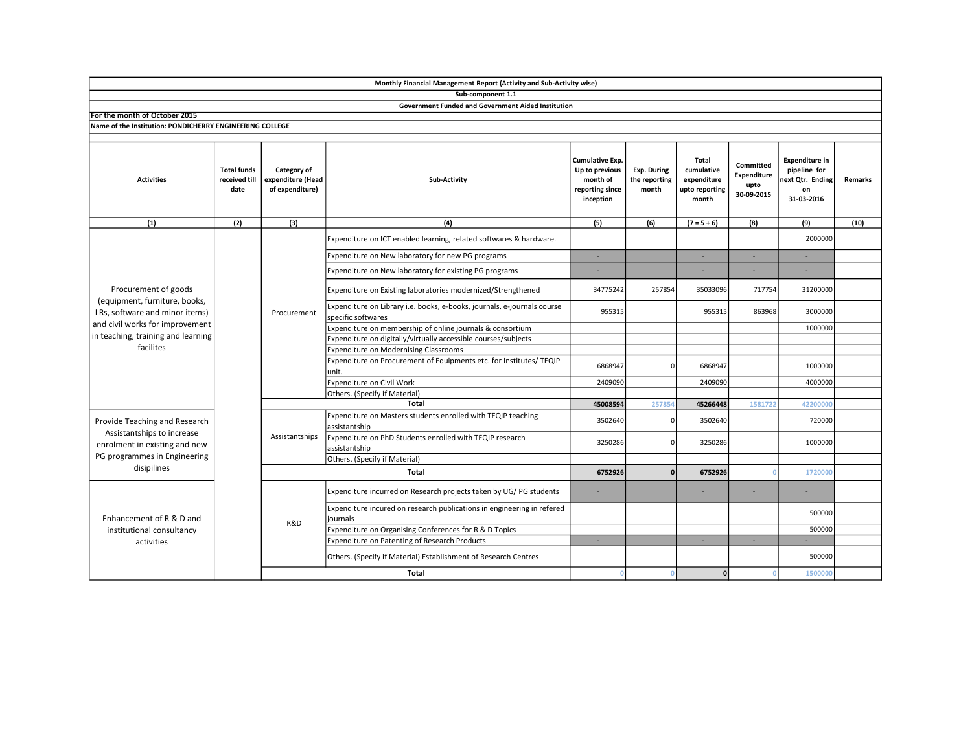|                                                                                                                                                                               |                                             |                                                     | Monthly Financial Management Report (Activity and Sub-Activity wise)                          |                                                                               |                                              |                                                               |                                                |                                                                               |         |
|-------------------------------------------------------------------------------------------------------------------------------------------------------------------------------|---------------------------------------------|-----------------------------------------------------|-----------------------------------------------------------------------------------------------|-------------------------------------------------------------------------------|----------------------------------------------|---------------------------------------------------------------|------------------------------------------------|-------------------------------------------------------------------------------|---------|
|                                                                                                                                                                               |                                             |                                                     | Sub-component 1.1                                                                             |                                                                               |                                              |                                                               |                                                |                                                                               |         |
|                                                                                                                                                                               |                                             |                                                     | <b>Government Funded and Government Aided Institution</b>                                     |                                                                               |                                              |                                                               |                                                |                                                                               |         |
| For the month of October 2015                                                                                                                                                 |                                             |                                                     |                                                                                               |                                                                               |                                              |                                                               |                                                |                                                                               |         |
| Name of the Institution: PONDICHERRY ENGINEERING COLLEGE                                                                                                                      |                                             |                                                     |                                                                                               |                                                                               |                                              |                                                               |                                                |                                                                               |         |
| <b>Activities</b>                                                                                                                                                             | <b>Total funds</b><br>received till<br>date | Category of<br>expenditure (Head<br>of expenditure) | Sub-Activity                                                                                  | Cumulative Exp.<br>Up to previous<br>month of<br>reporting since<br>inception | <b>Exp. During</b><br>the reporting<br>month | Total<br>cumulative<br>expenditure<br>upto reporting<br>month | Committed<br>Expenditure<br>upto<br>30-09-2015 | <b>Expenditure in</b><br>pipeline for<br>next Qtr. Ending<br>on<br>31-03-2016 | Remarks |
| (1)                                                                                                                                                                           | (2)                                         | (3)                                                 | (4)                                                                                           | (5)                                                                           | (6)                                          | $(7 = 5 + 6)$                                                 | (8)                                            | (9)                                                                           | (10)    |
| Procurement of goods<br>(equipment, furniture, books,<br>LRs, software and minor items)<br>and civil works for improvement<br>in teaching, training and learning<br>facilites |                                             | Procurement                                         | Expenditure on ICT enabled learning, related softwares & hardware.                            |                                                                               |                                              |                                                               |                                                | 2000000                                                                       |         |
|                                                                                                                                                                               |                                             |                                                     | Expenditure on New laboratory for new PG programs                                             | ×                                                                             |                                              | ×.                                                            | ÷.                                             | ÷.                                                                            |         |
|                                                                                                                                                                               |                                             |                                                     | Expenditure on New laboratory for existing PG programs                                        |                                                                               |                                              |                                                               |                                                |                                                                               |         |
|                                                                                                                                                                               |                                             |                                                     | Expenditure on Existing laboratories modernized/Strengthened                                  | 34775242                                                                      | 257854                                       | 35033096                                                      | 717754                                         | 31200000                                                                      |         |
|                                                                                                                                                                               |                                             |                                                     | Expenditure on Library i.e. books, e-books, journals, e-journals course<br>specific softwares | 955315                                                                        |                                              | 955315                                                        | 863968                                         | 3000000                                                                       |         |
|                                                                                                                                                                               |                                             |                                                     | Expenditure on membership of online journals & consortium                                     |                                                                               |                                              |                                                               |                                                | 1000000                                                                       |         |
|                                                                                                                                                                               |                                             |                                                     | Expenditure on digitally/virtually accessible courses/subjects                                |                                                                               |                                              |                                                               |                                                |                                                                               |         |
|                                                                                                                                                                               |                                             |                                                     | <b>Expenditure on Modernising Classrooms</b>                                                  |                                                                               |                                              |                                                               |                                                |                                                                               |         |
|                                                                                                                                                                               |                                             |                                                     | Expenditure on Procurement of Equipments etc. for Institutes/ TEQIP<br>unit.                  | 6868947                                                                       | n                                            | 6868947                                                       |                                                | 1000000                                                                       |         |
|                                                                                                                                                                               |                                             |                                                     | <b>Expenditure on Civil Work</b>                                                              | 2409090                                                                       |                                              | 2409090                                                       |                                                | 4000000                                                                       |         |
|                                                                                                                                                                               |                                             |                                                     | Others. (Specify if Material)                                                                 |                                                                               |                                              |                                                               |                                                |                                                                               |         |
|                                                                                                                                                                               |                                             |                                                     | <b>Total</b>                                                                                  | 45008594                                                                      | 25785                                        | 45266448                                                      | 1581722                                        | 42200000                                                                      |         |
| Provide Teaching and Research<br>Assistantships to increase<br>enrolment in existing and new<br>PG programmes in Engineering<br>disipilines                                   |                                             | Assistantships                                      | Expenditure on Masters students enrolled with TEQIP teaching<br>assistantship                 | 3502640                                                                       | C                                            | 3502640                                                       |                                                | 720000                                                                        |         |
|                                                                                                                                                                               |                                             |                                                     | Expenditure on PhD Students enrolled with TEQIP research<br>assistantship                     | 3250286                                                                       |                                              | 3250286                                                       |                                                | 1000000                                                                       |         |
|                                                                                                                                                                               |                                             |                                                     | Others. (Specify if Material)                                                                 |                                                                               |                                              |                                                               |                                                |                                                                               |         |
|                                                                                                                                                                               |                                             | Total                                               |                                                                                               | 6752926                                                                       | n                                            | 6752926                                                       |                                                | 1720000                                                                       |         |
| Enhancement of R & D and<br>institutional consultancy<br>activities                                                                                                           |                                             | R&D                                                 | Expenditure incurred on Research projects taken by UG/PG students                             |                                                                               |                                              |                                                               |                                                |                                                                               |         |
|                                                                                                                                                                               |                                             |                                                     | Expenditure incured on research publications in engineering in refered<br>journals            |                                                                               |                                              |                                                               |                                                | 500000                                                                        |         |
|                                                                                                                                                                               |                                             |                                                     | Expenditure on Organising Conferences for R & D Topics                                        |                                                                               |                                              |                                                               |                                                | 500000                                                                        |         |
|                                                                                                                                                                               |                                             |                                                     | Expenditure on Patenting of Research Products                                                 | <b>F</b>                                                                      |                                              | ×.                                                            | ×.                                             |                                                                               |         |
|                                                                                                                                                                               |                                             |                                                     | Others. (Specify if Material) Establishment of Research Centres                               |                                                                               |                                              |                                                               |                                                | 500000                                                                        |         |
|                                                                                                                                                                               |                                             |                                                     | <b>Total</b>                                                                                  | $\Omega$                                                                      |                                              | 0                                                             | $\Omega$                                       | 1500000                                                                       |         |